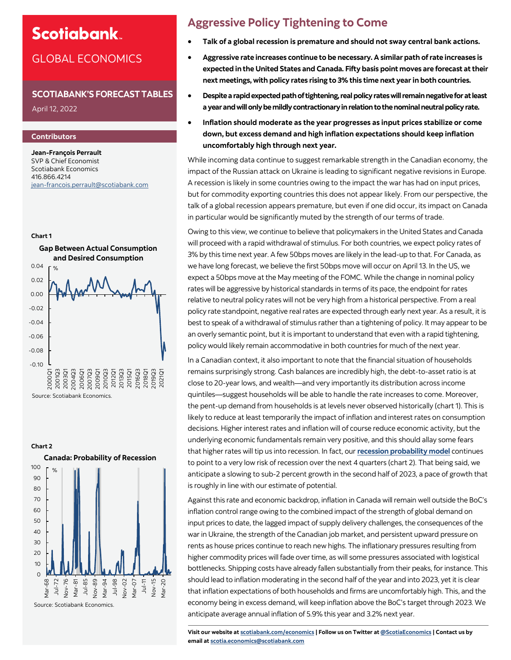# **Scotiabank**

### GLOBAL ECONOMICS

#### **SCOTIABANK'S FORECAST TABLES**

April 12, 2022

#### **Contributors**

**Jean-François Perrault** SVP & Chief Economist Scotiabank Economics 416.866.4214 jean-[francois.perrault@scotiabank.com](mailto:jean-francois.perrault@scotiabank.com)

#### **Chart 1**



Source: Scotiabank Economics.



### **Aggressive Policy Tightening to Come**

- **Talk of a global recession is premature and should not sway central bank actions.**
- **Aggressive rate increases continue to be necessary. A similar path of rate increases is expected in the United States and Canada. Fifty basis point moves are forecast at their next meetings, with policy rates rising to 3% this time next year in both countries.**
- **Despite a rapid expected path of tightening, real policy rates will remain negative for at least a year and will only be mildly contractionary in relation to the nominal neutral policy rate.**
- **Inflation should moderate as the year progresses as input prices stabilize or come down, but excess demand and high inflation expectations should keep inflation uncomfortably high through next year.**

While incoming data continue to suggest remarkable strength in the Canadian economy, the impact of the Russian attack on Ukraine is leading to significant negative revisions in Europe. A recession is likely in some countries owing to the impact the war has had on input prices, but for commodity exporting countries this does not appear likely. From our perspective, the talk of a global recession appears premature, but even if one did occur, its impact on Canada in particular would be significantly muted by the strength of our terms of trade.

Owing to this view, we continue to believe that policymakers in the United States and Canada will proceed with a rapid withdrawal of stimulus. For both countries, we expect policy rates of 3% by this time next year. A few 50bps moves are likely in the lead-up to that. For Canada, as we have long forecast, we believe the first 50bps move will occur on April 13. In the US, we expect a 50bps move at the May meeting of the FOMC. While the change in nominal policy rates will be aggressive by historical standards in terms of its pace, the endpoint for rates relative to neutral policy rates will not be very high from a historical perspective. From a real policy rate standpoint, negative real rates are expected through early next year. As a result, it is best to speak of a withdrawal of stimulus rather than a tightening of policy. It may appear to be an overly semantic point, but it is important to understand that even with a rapid tightening, policy would likely remain accommodative in both countries for much of the next year.

In a Canadian context, it also important to note that the financial situation of households remains surprisingly strong. Cash balances are incredibly high, the debt-to-asset ratio is at close to 20-year lows, and wealth—and very importantly its distribution across income quintiles—suggest households will be able to handle the rate increases to come. Moreover, the pent-up demand from households is at levels never observed historically (chart 1). This is likely to reduce at least temporarily the impact of inflation and interest rates on consumption decisions. Higher interest rates and inflation will of course reduce economic activity, but the underlying economic fundamentals remain very positive, and this should allay some fears that higher rates will tip us into recession. In fact, our **[recession probability model](https://www.scotiabank.com/content/dam/gbm/scotiaeconomics63/2017-11-30_I&V.pdf)** continues to point to a very low risk of recession over the next 4 quarters (chart 2). That being said, we anticipate a slowing to sub-2 percent growth in the second half of 2023, a pace of growth that is roughly in line with our estimate of potential.

Against this rate and economic backdrop, inflation in Canada will remain well outside the BoC's inflation control range owing to the combined impact of the strength of global demand on input prices to date, the lagged impact of supply delivery challenges, the consequences of the war in Ukraine, the strength of the Canadian job market, and persistent upward pressure on rents as house prices continue to reach new highs. The inflationary pressures resulting from higher commodity prices will fade over time, as will some pressures associated with logistical bottlenecks. Shipping costs have already fallen substantially from their peaks, for instance. This should lead to inflation moderating in the second half of the year and into 2023, yet it is clear that inflation expectations of both households and firms are uncomfortably high. This, and the economy being in excess demand, will keep inflation above the BoC's target through 2023. We anticipate average annual inflation of 5.9% this year and 3.2% next year.

**Visit our website at [scotiabank.com/economics](https://www.scotiabank.com/ca/en/about/global-economics/economics-publications.html) | Follow us on Twitter at [@ScotiaEconomics](https://twitter.com/ScotiaEconomics) | Contact us by email at scotia.economics@scotiabank.com**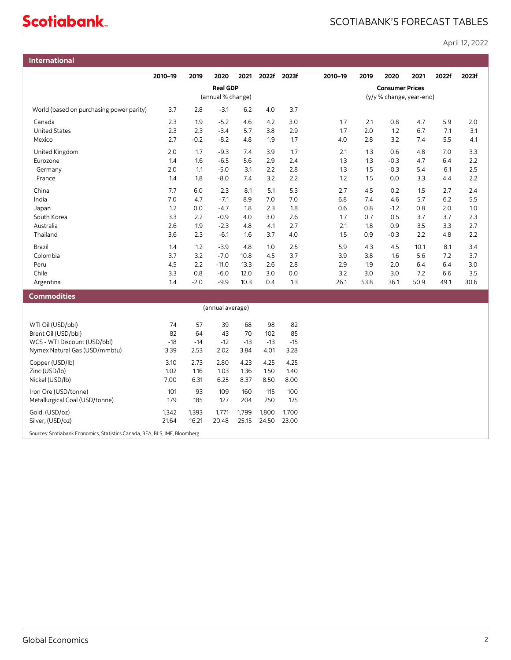### SCOTIABANK'S FORECAST TABLES

#### April 12, 2022

| <b>International</b>                                                        |            |                                      |                  |            |             |            |                                                    |            |            |            |            |            |
|-----------------------------------------------------------------------------|------------|--------------------------------------|------------------|------------|-------------|------------|----------------------------------------------------|------------|------------|------------|------------|------------|
|                                                                             | 2010-19    | 2019                                 | 2020             | 2021       | 2022f 2023f |            | 2010-19                                            | 2019       | 2020       | 2021       | 2022f      | 2023f      |
|                                                                             |            | <b>Real GDP</b><br>(annual % change) |                  |            |             |            | <b>Consumer Prices</b><br>(y/y % change, year-end) |            |            |            |            |            |
| World (based on purchasing power parity)                                    | 3.7        | 2.8                                  | $-3.1$           | 6.2        | 4.0         | 3.7        |                                                    |            |            |            |            |            |
| Canada                                                                      | 2.3        | 1.9                                  | $-5.2$           | 4.6        | 4.2         | 3.0        | 1.7                                                | 2.1        | 0.8        | 4.7        | 5.9        | 2.0        |
| <b>United States</b><br>Mexico                                              | 2.3<br>2.7 | 2.3<br>$-0.2$                        | $-3.4$<br>$-8.2$ | 5.7<br>4.8 | 3.8<br>1.9  | 2.9<br>1.7 | 1.7<br>4.0                                         | 2.0<br>2.8 | 1.2<br>3.2 | 6.7<br>7.4 | 7.1<br>5.5 | 3.1<br>4.1 |
| United Kingdom                                                              | 2.0        | 1.7                                  | $-9.3$           | 7.4        | 3.9         | 1.7        | 2.1                                                | 1.3        | 0.6        | 4.8        | 7.0        | 3.3        |
| Eurozone                                                                    | 1.4        | 1.6                                  | $-6.5$           | 5.6        | 2.9         | 2.4        | 1.3                                                | 1.3        | $-0.3$     | 4.7        | 6.4        | 2.2        |
| Germany                                                                     | 2.0        | 1.1                                  | $-5.0$           | 3.1        | 2.2         | 2.8        | 1.3                                                | 1.5        | $-0.3$     | 5.4        | 6.1        | 2.5        |
| France                                                                      | 1.4        | 1.8                                  | $-8.0$           | 7.4        | 3.2         | 2.2        | 1.2                                                | 1.5        | 0.0        | 3.3        | 4.4        | 2.2        |
| China                                                                       | 7.7        | 6.0                                  | 2.3              | 8.1        | 5.1         | 5.3        | 2.7                                                | 4.5        | 0.2        | 1.5        | 2.7        | 2.4        |
| India                                                                       | 7.0        | 4.7                                  | $-7.1$           | 8.9        | 7.0         | 7.0        | 6.8                                                | 7.4        | 4.6        | 5.7        | 6.2        | 5.5        |
| Japan                                                                       | 1.2        | 0.0                                  | $-4.7$           | 1.8        | 2.3         | 1.8        | 0.6                                                | 0.8        | $-1.2$     | 0.8        | 2.0        | 1.0        |
| South Korea                                                                 | 3.3        | 2.2                                  | $-0.9$           | 4.0        | 3.0         | 2.6        | 1.7                                                | 0.7        | 0.5        | 3.7        | 3.7        | 2.3        |
| Australia                                                                   | 2.6        | 1.9                                  | $-2.3$           | 4.8        | 4.1         | 2.7        | 2.1                                                | 1.8        | 0.9        | 3.5        | 3.3        | 2.7        |
| Thailand                                                                    | 3.6        | 2.3                                  | $-6.1$           | 1.6        | 3.7         | 4.0        | 1.5                                                | 0.9        | $-0.3$     | 2.2        | 4.8        | 2.2        |
| Brazil                                                                      | 1.4        | 1.2                                  | $-3.9$           | 4.8        | 1.0         | 2.5        | 5.9                                                | 4.3        | 4.5        | 10.1       | 8.1        | 3.4        |
| Colombia                                                                    | 3.7        | 3.2                                  | $-7.0$           | 10.8       | 4.5         | 3.7        | 3.9                                                | 3.8        | 1.6        | 5.6        | 7.2        | 3.7        |
| Peru                                                                        | 4.5        | 2.2                                  | $-11.0$          | 13.3       | 2.6         | 2.8        | 2.9                                                | 1.9        | 2.0        | 6.4        | 6.4        | 3.0        |
| Chile                                                                       | 3.3        | 0.8                                  | $-6.0$           | 12.0       | 3.0         | 0.0        | 3.2                                                | 3.0        | 3.0        | 7.2        | 6.6        | 3.5        |
| Argentina                                                                   | 1.4        | $-2.0$                               | $-9.9$           | 10.3       | 0.4         | 1.3        | 26.1                                               | 53.8       | 36.1       | 50.9       | 49.1       | 30.6       |
| <b>Commodities</b>                                                          |            |                                      |                  |            |             |            |                                                    |            |            |            |            |            |
|                                                                             |            |                                      | (annual average) |            |             |            |                                                    |            |            |            |            |            |
| WTI Oil (USD/bbl)                                                           | 74         | 57                                   | 39               | 68         | 98          | 82         |                                                    |            |            |            |            |            |
| Brent Oil (USD/bbl)                                                         | 82         | 64                                   | 43               | 70         | 102         | 85         |                                                    |            |            |            |            |            |
| WCS - WTI Discount (USD/bbl)                                                | $-18$      | $-14$                                | $-12$            | $-13$      | $-13$       | $-15$      |                                                    |            |            |            |            |            |
| Nymex Natural Gas (USD/mmbtu)                                               | 3.39       | 2.53                                 | 2.02             | 3.84       | 4.01        | 3.28       |                                                    |            |            |            |            |            |
| Copper (USD/lb)                                                             | 3.10       | 2.73                                 | 2.80             | 4.23       | 4.25        | 4.25       |                                                    |            |            |            |            |            |
| Zinc (USD/lb)                                                               | 1.02       | 1.16                                 | 1.03             | 1.36       | 1.50        | 1.40       |                                                    |            |            |            |            |            |
| Nickel (USD/lb)                                                             | 7.00       | 6.31                                 | 6.25             | 8.37       | 8.50        | 8.00       |                                                    |            |            |            |            |            |
| Iron Ore (USD/tonne)                                                        | 101        | 93                                   | 109              | 160        | 115         | 100        |                                                    |            |            |            |            |            |
| Metallurgical Coal (USD/tonne)                                              | 179        | 185                                  | 127              | 204        | 250         | 175        |                                                    |            |            |            |            |            |
| Gold, (USD/oz)                                                              | 1,342      | 1,393                                | 1,771            | 1,799      | 1,800       | 1,700      |                                                    |            |            |            |            |            |
| Silver, (USD/oz)                                                            | 21.64      | 16.21                                | 20.48            | 25.15      | 24.50       | 23.00      |                                                    |            |            |            |            |            |
| Sources: Scotiabank Economics, Statistics Canada, BEA, BLS, IMF, Bloomberg. |            |                                      |                  |            |             |            |                                                    |            |            |            |            |            |
|                                                                             |            |                                      |                  |            |             |            |                                                    |            |            |            |            |            |

**Scotiabank**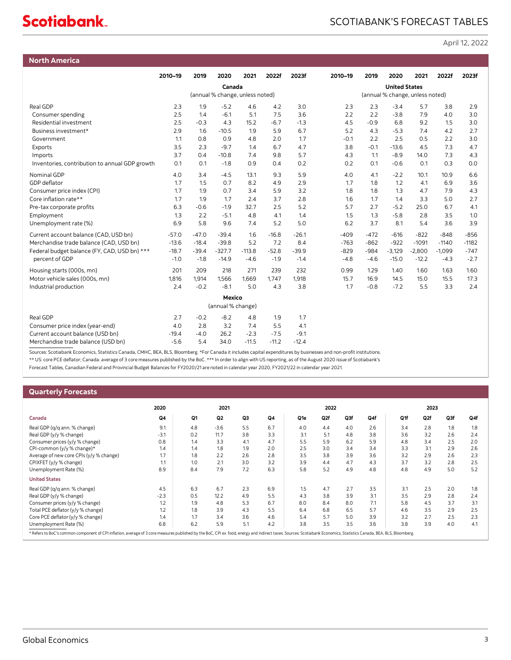### SCOTIABANK'S FORECAST TABLES

# **Scotiabank.**

April 12, 2022

| <b>North America</b>                           |         |         |                                 |          |         |         |                                 |        |                      |          |          |         |  |  |
|------------------------------------------------|---------|---------|---------------------------------|----------|---------|---------|---------------------------------|--------|----------------------|----------|----------|---------|--|--|
|                                                | 2010-19 | 2019    | 2020                            | 2021     | 2022f   | 2023f   | 2010-19                         | 2019   | 2020                 | 2021     | 2022f    | 2023f   |  |  |
|                                                |         |         | Canada                          |          |         |         |                                 |        | <b>United States</b> |          |          |         |  |  |
|                                                |         |         | (annual % change, unless noted) |          |         |         | (annual % change, unless noted) |        |                      |          |          |         |  |  |
| Real GDP                                       | 2.3     | 1.9     | $-5.2$                          | 4.6      | 4.2     | 3.0     | 2.3                             | 2.3    | $-3.4$               | 5.7      | 3.8      | 2.9     |  |  |
| Consumer spending                              | 2.5     | 1.4     | $-6.1$                          | 5.1      | 7.5     | 3.6     | 2.2                             | 2.2    | $-3.8$               | 7.9      | 4.0      | 3.0     |  |  |
| Residential investment                         | 2.5     | $-0.3$  | 4.3                             | 15.2     | $-6.7$  | $-1.3$  | 4.5                             | $-0.9$ | 6.8                  | 9.2      | 1.5      | 3.0     |  |  |
| Business investment*                           | 2.9     | 1.6     | $-10.5$                         | 1.9      | 5.9     | 6.7     | 5.2                             | 4.3    | $-5.3$               | 7.4      | 4.2      | 2.7     |  |  |
| Government                                     | 1.1     | 0.8     | 0.9                             | 4.8      | 2.0     | 1.7     | $-0.1$                          | 2.2    | 2.5                  | 0.5      | 2.2      | 3.0     |  |  |
| Exports                                        | 3.5     | 2.3     | $-9.7$                          | 1.4      | 6.7     | 4.7     | 3.8                             | $-0.1$ | $-13.6$              | 4.5      | 7.3      | 4.7     |  |  |
| Imports                                        | 3.7     | 0.4     | $-10.8$                         | 7.4      | 9.8     | 5.7     | 4.3                             | 1.1    | $-8.9$               | 14.0     | 7.3      | 4.3     |  |  |
| Inventories, contribution to annual GDP growth | 0.1     | 0.1     | $-1.8$                          | 0.9      | 0.4     | 0.2     | 0.2                             | 0.1    | $-0.6$               | 0.1      | 0.3      | 0.0     |  |  |
| Nominal GDP                                    | 4.0     | 3.4     | $-4.5$                          | 13.1     | 9.3     | 5.9     | 4.0                             | 4.1    | $-2.2$               | 10.1     | 10.9     | 6.6     |  |  |
| GDP deflator                                   | 1.7     | 1.5     | 0.7                             | 8.2      | 4.9     | 2.9     | 1.7                             | 1.8    | 1.2                  | 4.1      | 6.9      | 3.6     |  |  |
| Consumer price index (CPI)                     | 1.7     | 1.9     | 0.7                             | 3.4      | 5.9     | 3.2     | 1.8                             | 1.8    | 1.3                  | 4.7      | 7.9      | 4.3     |  |  |
| Core inflation rate**                          | 1.7     | 1.9     | 1.7                             | 2.4      | 3.7     | 2.8     | 1.6                             | 1.7    | 1.4                  | 3.3      | 5.0      | 2.7     |  |  |
| Pre-tax corporate profits                      | 6.3     | $-0.6$  | $-1.9$                          | 32.7     | 2.5     | 5.2     | 5.7                             | 2.7    | $-5.2$               | 25.0     | 6.7      | 4.1     |  |  |
| Employment                                     | 1.3     | 2.2     | $-5.1$                          | 4.8      | 4.1     | 1.4     | 1.5                             | 1.3    | $-5.8$               | 2.8      | 3.5      | 1.0     |  |  |
| Unemployment rate (%)                          | 6.9     | 5.8     | 9.6                             | 7.4      | 5.2     | 5.0     | 6.2                             | 3.7    | 8.1                  | 5.4      | 3.6      | 3.9     |  |  |
| Current account balance (CAD, USD bn)          | $-57.0$ | $-47.0$ | $-39.4$                         | 1.6      | $-16.8$ | $-26.1$ | $-409$                          | $-472$ | $-616$               | $-822$   | $-848$   | $-856$  |  |  |
| Merchandise trade balance (CAD, USD bn)        | $-13.6$ | $-18.4$ | $-39.8$                         | 5.2      | 7.2     | 8.4     | $-763$                          | $-862$ | $-922$               | $-1091$  | $-1140$  | $-1182$ |  |  |
| Federal budget balance (FY, CAD, USD bn) ***   | $-18.7$ | $-39.4$ | $-327.7$                        | $-113.8$ | $-52.8$ | $-39.9$ | $-829$                          | $-984$ | $-3,129$             | $-2,800$ | $-1,099$ | $-747$  |  |  |
| percent of GDP                                 | $-1.0$  | $-1.8$  | $-14.9$                         | $-4.6$   | $-1.9$  | $-1.4$  | $-4.8$                          | $-4.6$ | $-15.0$              | $-12.2$  | $-4.3$   | $-2.7$  |  |  |
| Housing starts (000s, mn)                      | 201     | 209     | 218                             | 271      | 239     | 232     | 0.99                            | 1.29   | 1.40                 | 1.60     | 1.63     | 1.60    |  |  |
| Motor vehicle sales (000s, mn)                 | 1,816   | 1,914   | 1,566                           | 1,669    | 1,747   | 1,918   | 15.7                            | 16.9   | 14.5                 | 15.0     | 15.5     | 17.3    |  |  |
| Industrial production                          | 2.4     | $-0.2$  | $-8.1$                          | 5.0      | 4.3     | 3.8     | 1.7                             | $-0.8$ | $-7.2$               | 5.5      | 3.3      | 2.4     |  |  |
|                                                |         |         | Mexico                          |          |         |         |                                 |        |                      |          |          |         |  |  |
|                                                |         |         | (annual % change)               |          |         |         |                                 |        |                      |          |          |         |  |  |
| Real GDP                                       | 2.7     | $-0.2$  | $-8.2$                          | 4.8      | 1.9     | 1.7     |                                 |        |                      |          |          |         |  |  |
| Consumer price index (year-end)                | 4.0     | 2.8     | 3.2                             | 7.4      | 5.5     | 4.1     |                                 |        |                      |          |          |         |  |  |
| Current account balance (USD bn)               | $-19.4$ | $-4.0$  | 26.2                            | $-2.3$   | $-7.5$  | $-9.1$  |                                 |        |                      |          |          |         |  |  |
| Merchandise trade balance (USD bn)             | $-5.6$  | 5.4     | 34.0                            | $-11.5$  | $-11.2$ | $-12.4$ |                                 |        |                      |          |          |         |  |  |

Sources: Scotiabank Economics, Statistics Canada, CMHC, BEA, BLS, Bloomberg. \*For Canada it includes capital expenditures by businesses and non-profit institutions.

\*\* US: core PCE deflator; Canada: average of 3 core measures published by the BoC. \*\*\* In order to align with US reporting, as of the August 2020 issue of Scotiabank's

Forecast Tables, Canadian Federal and Provincial Budget Balances for FY2020/21 are noted in calendar year 2020, FY2021/22 in calendar year 2021.

#### **Quarterly Forecasts**

|                                                                                                                                                                                                                       | 2020   |     | 2021           |     |     |     | 2022 |     |     |     | 2023<br>Q1f<br>Q2f<br>Q3f |     |     |
|-----------------------------------------------------------------------------------------------------------------------------------------------------------------------------------------------------------------------|--------|-----|----------------|-----|-----|-----|------|-----|-----|-----|---------------------------|-----|-----|
| Canada                                                                                                                                                                                                                | Q4     | Q1  | Q <sub>2</sub> | Q3  | Q4  | Q1e | Q2f  | Q3f | Q4f |     |                           |     | Q4f |
| Real GDP (q/q ann. % change)                                                                                                                                                                                          | 9.1    | 4.8 | $-3.6$         | 5.5 | 6.7 | 4.0 | 4.4  | 4.0 | 2.6 | 3.4 | 2.8                       | 1.8 | 1.8 |
| Real GDP (y/y % change)                                                                                                                                                                                               | $-3.1$ | 0.2 | 11.7           | 3.8 | 3.3 | 3.1 | 5.1  | 4.8 | 3.8 | 3.6 | 3.2                       | 2.6 | 2.4 |
| Consumer prices (y/y % change)                                                                                                                                                                                        | 0.8    | 1.4 | 3.3            | 4.1 | 4.7 | 5.5 | 5.9  | 6.2 | 5.9 | 4.8 | 3.4                       | 2.5 | 2.0 |
| CPI-common (y/y % change)*                                                                                                                                                                                            | 1.4    | 1.4 | 1.8            | 1.9 | 2.0 | 2.5 | 3.0  | 3.4 | 3.4 | 3.3 | 3.1                       | 2.9 | 2.6 |
| Average of new core CPIs (y/y % change)                                                                                                                                                                               | 1.7    | 1.8 | 2.2            | 2.6 | 2.8 | 3.5 | 3.8  | 3.9 | 3.6 | 3.2 | 2.9                       | 2.6 | 2.3 |
| CPIXFET (y/y % change)                                                                                                                                                                                                | 1.1    | 1.0 | 2.1            | 3.0 | 3.2 | 3.9 | 4.4  | 4.7 | 4.3 | 3.7 | 3.2                       | 2.8 | 2.5 |
| Unemployment Rate (%)                                                                                                                                                                                                 | 8.9    | 8.4 | 7.9            | 7.2 | 6.3 | 5.8 | 5.2  | 4.9 | 4.8 | 4.8 | 4.9                       | 5.0 | 5.2 |
| <b>United States</b>                                                                                                                                                                                                  |        |     |                |     |     |     |      |     |     |     |                           |     |     |
| Real GDP (q/q ann. % change)                                                                                                                                                                                          | 4.5    | 6.3 | 6.7            | 2.3 | 6.9 | 1.5 | 4.7  | 2.7 | 3.5 | 3.1 | 2.5                       | 2.0 | 1.8 |
| Real GDP (y/y % change)                                                                                                                                                                                               | $-2.3$ | 0.5 | 12.2           | 4.9 | 5.5 | 4.3 | 3.8  | 3.9 | 3.1 | 3.5 | 2.9                       | 2.8 | 2.4 |
| Consumer prices (y/y % change)                                                                                                                                                                                        | 1.2    | 1.9 | 4.8            | 5.3 | 6.7 | 8.0 | 8.4  | 8.0 | 7.1 | 5.8 | 4.5                       | 3.7 | 3.1 |
| Total PCE deflator (y/y % change)                                                                                                                                                                                     | 1.2    | 1.8 | 3.9            | 4.3 | 5.5 | 6.4 | 6.8  | 6.5 | 5.7 | 4.6 | 3.5                       | 2.9 | 2.5 |
| Core PCE deflator (y/y % change)                                                                                                                                                                                      | 1.4    | 1.7 | 3.4            | 3.6 | 4.6 | 5.4 | 5.7  | 5.0 | 3.9 | 3.2 | 2.7                       | 2.5 | 2.3 |
| Unemployment Rate (%)                                                                                                                                                                                                 | 6.8    | 6.2 | 5.9            | 5.1 | 4.2 | 3.8 | 3.5  | 3.5 | 3.6 | 3.8 | 3.9                       | 4.0 | 4.1 |
| * Refers to BoC's common component of CPI inflation, average of 3 core measures published by the BoC, CPI ex. food, energy and indirect taxes. Sources: Scotiabank Economics, Statistics Canada, BEA, BLS, Bloomberg. |        |     |                |     |     |     |      |     |     |     |                           |     |     |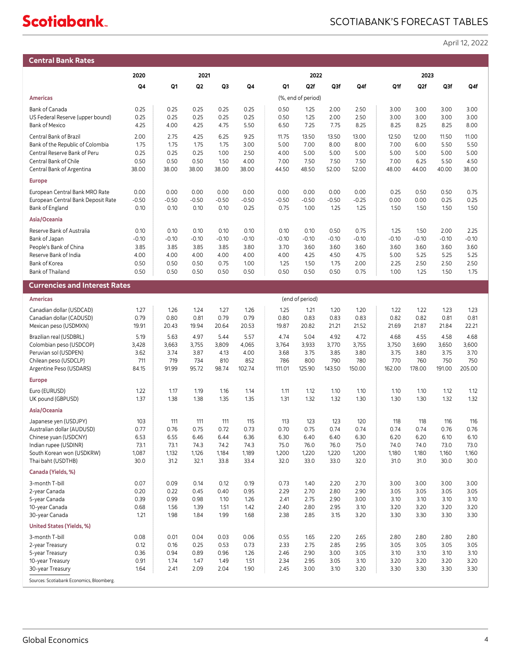# **Scotiabank**

## SCOTIABANK'S FORECAST TABLES

April 12, 2022

| <b>Central Bank Rates</b>                                                                                                                                                |                                                 |                                                 |                                                 |                                                 |                                                 |                                                 |                 |                                                 |                                                 |                                                 |                                                 |                                                 |                                                 |                                                 |
|--------------------------------------------------------------------------------------------------------------------------------------------------------------------------|-------------------------------------------------|-------------------------------------------------|-------------------------------------------------|-------------------------------------------------|-------------------------------------------------|-------------------------------------------------|-----------------|-------------------------------------------------|-------------------------------------------------|-------------------------------------------------|-------------------------------------------------|-------------------------------------------------|-------------------------------------------------|-------------------------------------------------|
|                                                                                                                                                                          | 2020                                            |                                                 | 2021                                            |                                                 | 2022<br>2023                                    |                                                 |                 |                                                 |                                                 |                                                 |                                                 |                                                 |                                                 |                                                 |
|                                                                                                                                                                          | Q4                                              | Q1                                              | Q <sub>2</sub>                                  | Q3                                              | Q4                                              | Q1                                              |                 | Q2f                                             | Q3f                                             | Q4f                                             | Q1f                                             | Q2f                                             | Q3f                                             | Q4f                                             |
| <b>Americas</b>                                                                                                                                                          |                                                 |                                                 |                                                 |                                                 |                                                 |                                                 |                 | (%, end of period)                              |                                                 |                                                 |                                                 |                                                 |                                                 |                                                 |
| Bank of Canada<br>US Federal Reserve (upper bound)<br><b>Bank of Mexico</b>                                                                                              | 0.25<br>0.25<br>4.25                            | 0.25<br>0.25<br>4.00                            | 0.25<br>0.25<br>4.25                            | 0.25<br>0.25<br>4.75                            | 0.25<br>0.25<br>5.50                            | 0.50<br>0.50<br>6.50                            |                 | 1.25<br>1.25<br>7.25                            | 2.00<br>2.00<br>7.75                            | 2.50<br>2.50<br>8.25                            | 3.00<br>3.00<br>8.25                            | 3.00<br>3.00<br>8.25                            | 3.00<br>3.00<br>8.25                            | 3.00<br>3.00<br>8.00                            |
| Central Bank of Brazil<br>Bank of the Republic of Colombia<br>Central Reserve Bank of Peru<br>Central Bank of Chile<br>Central Bank of Argentina                         | 2.00<br>1.75<br>0.25<br>0.50<br>38.00           | 2.75<br>1.75<br>0.25<br>0.50<br>38.00           | 4.25<br>1.75<br>0.25<br>0.50<br>38.00           | 6.25<br>1.75<br>1.00<br>1.50<br>38.00           | 9.25<br>3.00<br>2.50<br>4.00<br>38.00           | 11.75<br>5.00<br>4.00<br>7.00<br>44.50          |                 | 13.50<br>7.00<br>5.00<br>7.50<br>48.50          | 13.50<br>8.00<br>5.00<br>7.50<br>52.00          | 13.00<br>8.00<br>5.00<br>7.50<br>52.00          | 12.50<br>7.00<br>5.00<br>7.00<br>48.00          | 12.00<br>6.00<br>5.00<br>6.25<br>44.00          | 11.50<br>5.50<br>5.00<br>5.50<br>40.00          | 11.00<br>5.50<br>5.00<br>4.50<br>38.00          |
| <b>Europe</b>                                                                                                                                                            |                                                 |                                                 |                                                 |                                                 |                                                 |                                                 |                 |                                                 |                                                 |                                                 |                                                 |                                                 |                                                 |                                                 |
| European Central Bank MRO Rate<br>European Central Bank Deposit Rate<br>Bank of England                                                                                  | 0.00<br>$-0.50$<br>0.10                         | 0.00<br>$-0.50$<br>0.10                         | 0.00<br>$-0.50$<br>0.10                         | 0.00<br>$-0.50$<br>0.10                         | 0.00<br>$-0.50$<br>0.25                         | 0.00<br>$-0.50$<br>0.75                         |                 | 0.00<br>$-0.50$<br>1.00                         | 0.00<br>$-0.50$<br>1.25                         | 0.00<br>$-0.25$<br>1.25                         | 0.25<br>0.00<br>1.50                            | 0.50<br>0.00<br>1.50                            | 0.50<br>0.25<br>1.50                            | 0.75<br>0.25<br>1.50                            |
| Asia/Oceania                                                                                                                                                             |                                                 |                                                 |                                                 |                                                 |                                                 |                                                 |                 |                                                 |                                                 |                                                 |                                                 |                                                 |                                                 |                                                 |
| Reserve Bank of Australia<br>Bank of Japan<br>People's Bank of China<br>Reserve Bank of India<br>Bank of Korea<br>Bank of Thailand                                       | 0.10<br>$-0.10$<br>3.85<br>4.00<br>0.50<br>0.50 | 0.10<br>$-0.10$<br>3.85<br>4.00<br>0.50<br>0.50 | 0.10<br>$-0.10$<br>3.85<br>4.00<br>0.50<br>0.50 | 0.10<br>$-0.10$<br>3.85<br>4.00<br>0.75<br>0.50 | 0.10<br>$-0.10$<br>3.80<br>4.00<br>1.00<br>0.50 | 0.10<br>$-0.10$<br>3.70<br>4.00<br>1.25<br>0.50 |                 | 0.10<br>$-0.10$<br>3.60<br>4.25<br>1.50<br>0.50 | 0.50<br>$-0.10$<br>3.60<br>4.50<br>1.75<br>0.50 | 0.75<br>$-0.10$<br>3.60<br>4.75<br>2.00<br>0.75 | 1.25<br>$-0.10$<br>3.60<br>5.00<br>2.25<br>1.00 | 1.50<br>$-0.10$<br>3.60<br>5.25<br>2.50<br>1.25 | 2.00<br>$-0.10$<br>3.60<br>5.25<br>2.50<br>1.50 | 2.25<br>$-0.10$<br>3.60<br>5.25<br>2.50<br>1.75 |
| <b>Currencies and Interest Rates</b>                                                                                                                                     |                                                 |                                                 |                                                 |                                                 |                                                 |                                                 |                 |                                                 |                                                 |                                                 |                                                 |                                                 |                                                 |                                                 |
| <b>Americas</b>                                                                                                                                                          |                                                 |                                                 |                                                 |                                                 |                                                 |                                                 | (end of period) |                                                 |                                                 |                                                 |                                                 |                                                 |                                                 |                                                 |
| Canadian dollar (USDCAD)<br>Canadian dollar (CADUSD)<br>Mexican peso (USDMXN)                                                                                            | 1.27<br>0.79<br>19.91                           | 1.26<br>0.80<br>20.43                           | 1.24<br>0.81<br>19.94                           | 1.27<br>0.79<br>20.64                           | 1.26<br>0.79<br>20.53                           | 1.25<br>0.80<br>19.87                           |                 | 1.21<br>0.83<br>20.82                           | 1.20<br>0.83<br>21.21                           | 1.20<br>0.83<br>21.52                           | 1.22<br>0.82<br>21.69                           | 1.22<br>0.82<br>21.87                           | 1.23<br>0.81<br>21.84                           | 1.23<br>0.81<br>22.21                           |
| Brazilian real (USDBRL)<br>Colombian peso (USDCOP)<br>Peruvian sol (USDPEN)<br>Chilean peso (USDCLP)<br>Argentine Peso (USDARS)                                          | 5.19<br>3,428<br>3.62<br>711<br>84.15           | 5.63<br>3,663<br>3.74<br>719<br>91.99           | 4.97<br>3,755<br>3.87<br>734<br>95.72           | 5.44<br>3,809<br>4.13<br>810<br>98.74           | 5.57<br>4,065<br>4.00<br>852<br>102.74          | 4.74<br>3,764<br>3.68<br>786<br>111.01          |                 | 5.04<br>3,933<br>3.75<br>800<br>125.90          | 4.92<br>3,770<br>3.85<br>790<br>143.50          | 4.72<br>3,755<br>3.80<br>780<br>150.00          | 4.68<br>3,750<br>3.75<br>770<br>162.00          | 4.55<br>3,690<br>3.80<br>760<br>178.00          | 4.58<br>3,650<br>3.75<br>750<br>191.00          | 4.68<br>3,600<br>3.70<br>750<br>205.00          |
| <b>Europe</b>                                                                                                                                                            |                                                 |                                                 |                                                 |                                                 |                                                 |                                                 |                 |                                                 |                                                 |                                                 |                                                 |                                                 |                                                 |                                                 |
| Euro (EURUSD)<br>UK pound (GBPUSD)                                                                                                                                       | 1.22<br>1.37                                    | 1.17<br>1.38                                    | 1.19<br>1.38                                    | 1.16<br>1.35                                    | 1.14<br>1.35                                    | 1.11<br>1.31                                    |                 | 1.12<br>1.32                                    | 1.10<br>1.32                                    | 1.10<br>1.30                                    | 1.10<br>1.30                                    | 1.10<br>1.30                                    | 1.12<br>1.32                                    | 1.12<br>1.32                                    |
| Asia/Oceania<br>Japanese yen (USDJPY)<br>Australian dollar (AUDUSD)<br>Chinese yuan (USDCNY)<br>Indian rupee (USDINR)<br>South Korean won (USDKRW)<br>Thai baht (USDTHB) | 103<br>0.77<br>6.53<br>73.1<br>1,087<br>30.0    | 111<br>0.76<br>6.55<br>73.1<br>1,132<br>31.2    | 111<br>0.75<br>6.46<br>74.3<br>1,126<br>32.1    | 111<br>0.72<br>6.44<br>74.2<br>1,184<br>33.8    | 115<br>0.73<br>6.36<br>74.3<br>1,189<br>33.4    | 113<br>0.70<br>6.30<br>75.0<br>1,200<br>32.0    |                 | 123<br>0.75<br>6.40<br>76.0<br>1,220<br>33.0    | 123<br>0.74<br>6.40<br>76.0<br>1,220<br>33.0    | 120<br>0.74<br>6.30<br>75.0<br>1,200<br>32.0    | 118<br>0.74<br>6.20<br>74.0<br>1,180<br>31.0    | 118<br>0.74<br>6.20<br>74.0<br>1,180<br>31.0    | 116<br>0.76<br>6.10<br>73.0<br>1,160<br>30.0    | 116<br>0.76<br>6.10<br>73.0<br>1,160<br>30.0    |
| Canada (Yields, %)                                                                                                                                                       |                                                 |                                                 |                                                 |                                                 |                                                 |                                                 |                 |                                                 |                                                 |                                                 |                                                 |                                                 |                                                 |                                                 |
| 3-month T-bill<br>2-year Canada<br>5-year Canada<br>10-year Canada<br>30-year Canada                                                                                     | 0.07<br>0.20<br>0.39<br>0.68<br>1.21            | 0.09<br>0.22<br>0.99<br>1.56<br>1.98            | 0.14<br>0.45<br>0.98<br>1.39<br>1.84            | 0.12<br>0.40<br>1.10<br>1.51<br>1.99            | 0.19<br>0.95<br>1.26<br>1.42<br>1.68            | 0.73<br>2.29<br>2.41<br>2.40<br>2.38            |                 | 1.40<br>2.70<br>2.75<br>2.80<br>2.85            | 2.20<br>2.80<br>2.90<br>2.95<br>3.15            | 2.70<br>2.90<br>3.00<br>3.10<br>3.20            | 3.00<br>3.05<br>3.10<br>3.20<br>3.30            | 3.00<br>3.05<br>3.10<br>3.20<br>3.30            | 3.00<br>3.05<br>3.10<br>3.20<br>3.30            | 3.00<br>3.05<br>3.10<br>3.20<br>3.30            |
| <b>United States (Yields, %)</b>                                                                                                                                         |                                                 |                                                 |                                                 |                                                 |                                                 |                                                 |                 |                                                 |                                                 |                                                 |                                                 |                                                 |                                                 |                                                 |
| 3-month T-bill<br>2-year Treasury<br>5-year Treasury<br>10-year Treasury<br>30-year Treasury<br>Sources: Scotiabank Economics, Bloomberg.                                | 0.08<br>0.12<br>0.36<br>0.91<br>1.64            | 0.01<br>0.16<br>0.94<br>1.74<br>2.41            | 0.04<br>0.25<br>0.89<br>1.47<br>2.09            | 0.03<br>0.53<br>0.96<br>1.49<br>2.04            | 0.06<br>0.73<br>1.26<br>1.51<br>1.90            | 0.55<br>2.33<br>2.46<br>2.34<br>2.45            |                 | 1.65<br>2.75<br>2.90<br>2.95<br>3.00            | 2.20<br>2.85<br>3.00<br>3.05<br>3.10            | 2.65<br>2.95<br>3.05<br>3.10<br>3.20            | 2.80<br>3.05<br>3.10<br>3.20<br>3.30            | 2.80<br>3.05<br>3.10<br>3.20<br>3.30            | 2.80<br>3.05<br>3.10<br>3.20<br>3.30            | 2.80<br>3.05<br>3.10<br>3.20<br>3.30            |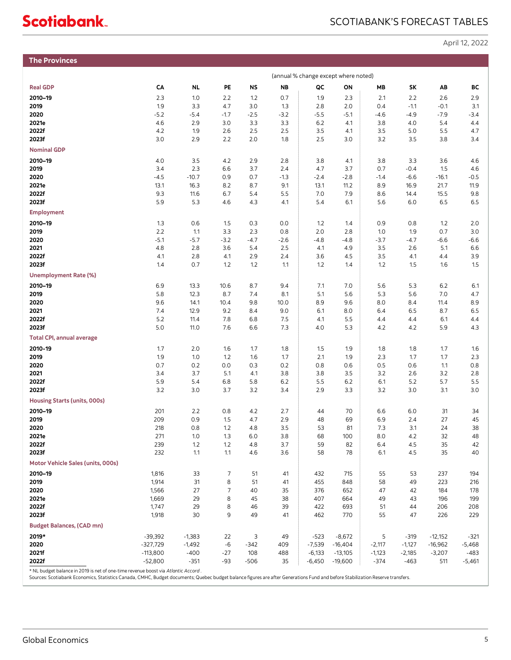# **Scotiabank**

## SCOTIABANK'S FORECAST TABLES

April 12, 2022

|                                                                                   |                                           |               |                |               |                            |               |                                      |               |               |               | April 12, 202. |
|-----------------------------------------------------------------------------------|-------------------------------------------|---------------|----------------|---------------|----------------------------|---------------|--------------------------------------|---------------|---------------|---------------|----------------|
| <b>The Provinces</b>                                                              |                                           |               |                |               |                            |               |                                      |               |               |               |                |
|                                                                                   |                                           |               |                |               |                            |               | (annual % change except where noted) |               |               |               |                |
| <b>Real GDP</b>                                                                   | CA                                        | <b>NL</b>     | PE             | NS            | $\ensuremath{\mathsf{NB}}$ | QC            | ON                                   | MB            | SΚ            | AB            | BC             |
| 2010-19                                                                           | 2.3                                       | 1.0           | 2.2            | 1.2           | 0.7                        | 1.9           | 2.3                                  | 2.1           | 2.2           | 2.6           | 2.9            |
| 2019                                                                              | 1.9                                       | 3.3           | 4.7            | 3.0           | 1.3                        | 2.8           | 2.0                                  | 0.4           | $-1.1$        | $-0.1$        | 3.1            |
| 2020<br>2021e                                                                     | $-5.2$<br>4.6                             | $-5.4$<br>2.9 | $-1.7$<br>3.0  | $-2.5$<br>3.3 | $-3.2$<br>3.3              | $-5.5$<br>6.2 | $-5.1$<br>4.1                        | $-4.6$<br>3.8 | $-4.9$<br>4.0 | $-7.9$<br>5.4 | $-3.4$<br>4.4  |
| 2022f                                                                             | 4.2                                       | 1.9           | 2.6            | 2.5           | 2.5                        | 3.5           | 4.1                                  | 3.5           | 5.0           | 5.5           | 4.7            |
| 2023f                                                                             | 3.0                                       | 2.9           | 2.2            | 2.0           | 1.8                        | 2.5           | 3.0                                  | 3.2           | 3.5           | 3.8           | 3.4            |
| <b>Nominal GDP</b>                                                                |                                           |               |                |               |                            |               |                                      |               |               |               |                |
| 2010-19                                                                           | 4.0                                       | 3.5           | 4.2            | 2.9           | 2.8                        | 3.8           | 4.1                                  | 3.8           | 3.3           | 3.6           | 4.6            |
| 2019                                                                              | 3.4                                       | 2.3           | 6.6            | 3.7           | 2.4                        | 4.7           | 3.7                                  | 0.7           | $-0.4$        | 1.5           | 4.6            |
| 2020                                                                              | $-4.5$                                    | $-10.7$       | 0.9            | 0.7           | $-1.3$                     | $-2.4$        | $-2.8$                               | $-1.4$        | $-6.6$        | $-16.1$       | $-0.5$         |
| 2021e<br>2022f                                                                    | 13.1<br>9.3                               | 16.3          | 8.2<br>6.7     | 8.7<br>5.4    | 9.1                        | 13.1<br>7.0   | 11.2<br>7.9                          | 8.9           | 16.9          | 21.7          | 11.9<br>9.8    |
| 2023f                                                                             | 5.9                                       | 11.6<br>5.3   | 4.6            | 4.3           | 5.5<br>4.1                 | 5.4           | 6.1                                  | 8.6<br>5.6    | 14.4<br>6.0   | 15.5<br>6.5   | 6.5            |
| <b>Employment</b>                                                                 |                                           |               |                |               |                            |               |                                      |               |               |               |                |
| 2010-19                                                                           | 1.3                                       | 0.6           | 1.5            | 0.3           | 0.0                        | 1.2           | 1.4                                  | 0.9           | 0.8           | 1.2           | 2.0            |
| 2019                                                                              | 2.2                                       | 1.1           | 3.3            | 2.3           | 0.8                        | 2.0           | 2.8                                  | 1.0           | 1.9           | 0.7           | 3.0            |
| 2020                                                                              | $-5.1$                                    | $-5.7$        | $-3.2$         | $-4.7$        | $-2.6$                     | $-4.8$        | $-4.8$                               | $-3.7$        | $-4.7$        | $-6.6$        | $-6.6$         |
| 2021                                                                              | $4.8\,$                                   | 2.8           | 3.6            | 5.4           | $2.5\,$                    | 4.1           | 4.9                                  | 3.5           | 2.6           | 5.1           | 6.6            |
| 2022f                                                                             | 4.1                                       | 2.8           | 4.1            | 2.9           | 2.4                        | 3.6           | 4.5                                  | 3.5           | 4.1           | 4.4           | 3.9            |
| 2023f                                                                             | 1.4                                       | 0.7           | 1.2            | 1.2           | 1.1                        | 1.2           | 1.4                                  | 1.2           | 1.5           | 1.6           | 1.5            |
| <b>Unemployment Rate (%)</b>                                                      |                                           |               |                |               |                            |               |                                      |               |               |               |                |
| 2010-19<br>2019                                                                   | 6.9<br>5.8                                | 13.3<br>12.3  | 10.6<br>8.7    | 8.7<br>7.4    | 9.4<br>8.1                 | 7.1<br>5.1    | 7.0<br>5.6                           | 5.6<br>5.3    | 5.3<br>5.6    | 6.2<br>7.0    | 6.1<br>4.7     |
| 2020                                                                              | 9.6                                       | 14.1          | 10.4           | 9.8           | 10.0                       | 8.9           | 9.6                                  | 8.0           | 8.4           | 11.4          | 8.9            |
| 2021                                                                              | 7.4                                       | 12.9          | 9.2            | 8.4           | 9.0                        | 6.1           | 8.0                                  | 6.4           | 6.5           | 8.7           | 6.5            |
| 2022f                                                                             | 5.2                                       | 11.4          | 7.8            | 6.8           | 7.5                        | 4.1           | 5.5                                  | 4.4           | 4.4           | 6.1           | 4.4            |
| 2023f                                                                             | 5.0                                       | 11.0          | 7.6            | 6.6           | 7.3                        | 4.0           | 5.3                                  | 4.2           | 4.2           | 5.9           | 4.3            |
| <b>Total CPI, annual average</b>                                                  |                                           |               |                |               |                            |               |                                      |               |               |               |                |
| 2010-19                                                                           | 1.7                                       | 2.0           | 1.6            | 1.7           | 1.8                        | 1.5           | 1.9                                  | 1.8           | 1.8           | 1.7           | 1.6            |
| 2019<br>2020                                                                      | 1.9<br>0.7                                | 1.0<br>0.2    | 1.2<br>0.0     | 1.6<br>0.3    | 1.7<br>0.2                 | 2.1<br>0.8    | 1.9<br>0.6                           | 2.3<br>0.5    | 1.7<br>0.6    | 1.7<br>1.1    | 2.3<br>0.8     |
| 2021                                                                              | 3.4                                       | 3.7           | 5.1            | 4.1           | 3.8                        | 3.8           | 3.5                                  | 3.2           | 2.6           | 3.2           | 2.8            |
| 2022f                                                                             | 5.9                                       | 5.4           | 6.8            | 5.8           | 6.2                        | 5.5           | 6.2                                  | 6.1           | 5.2           | 5.7           | 5.5            |
| 2023f                                                                             | 3.2                                       | 3.0           | 3.7            | 3.2           | 3.4                        | 2.9           | 3.3                                  | 3.2           | 3.0           | 3.1           | 3.0            |
| <b>Housing Starts (units, 000s)</b>                                               |                                           |               |                |               |                            |               |                                      |               |               |               |                |
| 2010-19                                                                           | 201                                       | 2.2           | 0.8            | 4.2           | 2.7                        | 44            | 70                                   | 6.6           | 6.0           | 31            | 34             |
| 2019                                                                              | 209                                       | 0.9           | 1.5            | 4.7           | 2.9                        | 48            | 69                                   | 6.9           | 2.4           | 27            | 45             |
| 2020<br>2021e                                                                     | 218<br>271                                | 0.8<br>1.0    | 1.2<br>1.3     | 4.8<br>6.0    | 3.5<br>3.8                 | 53<br>68      | 81<br>100                            | 7.3<br>8.0    | 3.1<br>4.2    | 24<br>32      | 38<br>48       |
| 2022f                                                                             | 239                                       | 1.2           | 1.2            | 4.8           | 3.7                        | 59            | 82                                   | 6.4           | 4.5           | 35            | 42             |
| 2023f                                                                             | 232                                       | 1.1           | 1.1            | 4.6           | 3.6                        | 58            | 78                                   | 6.1           | 4.5           | 35            | 40             |
| <b>Motor Vehicle Sales (units, 000s)</b>                                          |                                           |               |                |               |                            |               |                                      |               |               |               |                |
| 2010-19                                                                           | 1,816                                     | 33            | $\overline{7}$ | 51            | 41                         | 432           | 715                                  | 55            | 53            | 237           | 194            |
| 2019                                                                              | 1,914                                     | 31            | 8              | 51            | 41                         | 455           | 848                                  | 58            | 49            | 223           | 216            |
| 2020                                                                              | 1,566                                     | 27            | $\overline{7}$ | 40            | 35                         | 376           | 652                                  | 47            | 42            | 184           | 178            |
| 2021e<br>2022f                                                                    | 1,669<br>1,747                            | 29<br>29      | 8<br>8         | 45<br>46      | 38<br>39                   | 407<br>422    | 664<br>693                           | 49<br>51      | 43<br>44      | 196<br>206    | 199<br>208     |
| 2023f                                                                             | 1,918                                     | 30            | 9              | 49            | 41                         | 462           | 770                                  | 55            | 47            | 226           | 229            |
| <b>Budget Balances, (CAD mn)</b>                                                  |                                           |               |                |               |                            |               |                                      |               |               |               |                |
| 2019*                                                                             | $-39,392$                                 | $-1,383$      | 22             | 3             | 49                         | $-523$        | $-8,672$                             | 5             | $-319$        | $-12,152$     | $-321$         |
| 2020                                                                              | $-327,729$                                | $-1,492$      | $-6$           | $-342$        | 409                        | $-7,539$      | $-16,404$                            | $-2,117$      | $-1,127$      | $-16,962$     | $-5,468$       |
| 2021f                                                                             | $-113,800$                                | $-400$        | $-27$          | 108           | 488                        | $-6,133$      | $-13,105$                            | $-1,123$      | $-2,185$      | $-3,207$      | $-483$         |
| 2022f                                                                             | $-52,800$                                 | $-351$        | -93            | $-506$        | 35                         | $-6,450$      | $-19,600$                            | $-374$        | $-463$        | 511           | -5,461         |
| * NL budget balance in 2019 is net of one-time revenue boost via Atlantic Accord. | Chatietics Canada, CMUC, Budget decuments |               |                |               |                            |               |                                      |               |               |               |                |

Canada, CMHC, Budget documents; Quebec budget balance figures are after Generations Fund and before Stabilization Reserve transfers.